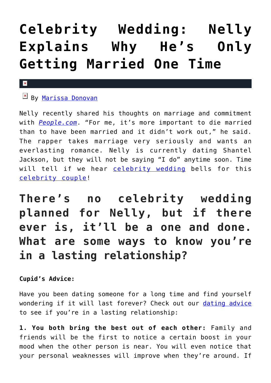## **[Celebrity Wedding: Nelly](https://cupidspulse.com/118787/celebrity-wedding-nelly-only-propose-once/) [Explains Why He's Only](https://cupidspulse.com/118787/celebrity-wedding-nelly-only-propose-once/) [Getting Married One Time](https://cupidspulse.com/118787/celebrity-wedding-nelly-only-propose-once/)**

## $\mathbf x$

## **E** By [Marissa Donovan](http://cupidspulse.com/118743/marissa-donovan/)

Nelly recently shared his thoughts on marriage and commitment with *[People.com](http://people.com/country/nelly-talks-tour-florida-georgia-line-bbq-chris-lane-gets-girls/)*. "For me, it's more important to die married than to have been married and it didn't work out," he said. The rapper takes marriage very seriously and wants an everlasting romance. Nelly is currently dating Shantel Jackson, but they will not be saying "I do" anytime soon. Time will tell if we hear [celebrity wedding](http://cupidspulse.com/celebrity-relationships/wedding-engagement/) bells for this [celebrity couple!](http://cupidspulse.com/celebrity-news/celebrity-dating/)

**There's no celebrity wedding planned for Nelly, but if there ever is, it'll be a one and done. What are some ways to know you're in a lasting relationship?**

**Cupid's Advice:**

Have you been dating someone for a long time and find yourself wondering if it will last forever? Check out our [dating advice](http://cupidspulse.com/relationship-experts/) to see if you're in a lasting relationship:

**1. You both bring the best out of each other:** Family and friends will be the first to notice a certain boost in your mood when the other person is near. You will even notice that your personal weaknesses will improve when they're around. If